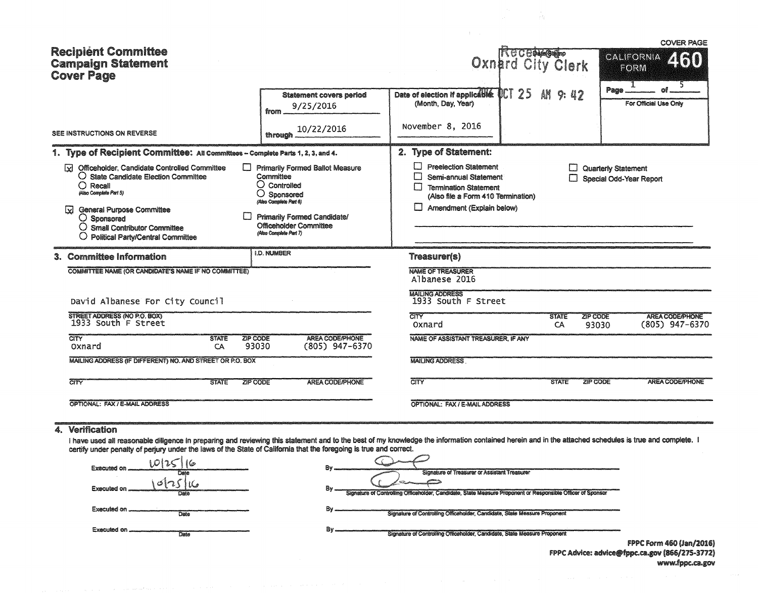| <b>Recipiént Committee</b><br><b>Campaign Statement</b><br><b>Cover Page</b>                                                                                                                                                                                                                                                    |                                                                                                                                                                                                                           |                                                                                                                                                          | $\Gamma \in G$ $G$ that $\mathbf{S}$ terms<br>Oxnard City Clerk | <b>COVER PAGE</b><br>CALIFORNIA<br>460<br>FORM                         |
|---------------------------------------------------------------------------------------------------------------------------------------------------------------------------------------------------------------------------------------------------------------------------------------------------------------------------------|---------------------------------------------------------------------------------------------------------------------------------------------------------------------------------------------------------------------------|----------------------------------------------------------------------------------------------------------------------------------------------------------|-----------------------------------------------------------------|------------------------------------------------------------------------|
|                                                                                                                                                                                                                                                                                                                                 | <b>Statement covers period</b><br>9/25/2016<br>from.                                                                                                                                                                      | 25<br>Date of election if applicable.<br>UC I<br>(Month, Day, Year)                                                                                      | 9:42                                                            | Page<br>For Official Use Only                                          |
| SEE INSTRUCTIONS ON REVERSE                                                                                                                                                                                                                                                                                                     | 10/22/2016<br>through                                                                                                                                                                                                     | November 8, 2016                                                                                                                                         |                                                                 |                                                                        |
| 1. Type of Recipient Committee: All Committees - Complete Parts 1, 2, 3, and 4.                                                                                                                                                                                                                                                 |                                                                                                                                                                                                                           | 2. Type of Statement:                                                                                                                                    |                                                                 |                                                                        |
| V Officeholder, Candidate Controlled Committee<br>$\mathbf{I}$<br>O State Candidate Election Committee<br>$\bigcirc$ Recall<br>(Also Complete Part 5)<br><b>General Purpose Committee</b><br>$\overline{ \mathbf{v} }$<br>$\bigcirc$ Sponsored<br>$\bigcirc$ Small Contributor Committee<br>O Political Party/Central Committee | <b>Primarily Formed Ballot Measure</b><br>Committee<br>$\bigcirc$ Controlled<br>O<br>Sponsored<br>(Also Complete Part 6)<br><b>Primarily Formed Candidate/</b><br><b>Officeholder Committee</b><br>(Also Complete Part 7) | <b>Preelection Statement</b><br>Semi-annual Statement<br><b>Termination Statement</b><br>(Also file a Form 410 Termination)<br>Amendment (Explain below) |                                                                 | <b>Quarterly Statement</b><br>Special Odd-Year Report                  |
| 3. Committee Information                                                                                                                                                                                                                                                                                                        | <b>I.D. NUMBER</b>                                                                                                                                                                                                        | Treasurer(s)                                                                                                                                             |                                                                 |                                                                        |
| COMMITTEE NAME (OR CANDIDATE'S NAME IF NO COMMITTEE)                                                                                                                                                                                                                                                                            |                                                                                                                                                                                                                           | NAME OF TREASURER<br>Albanese 2016                                                                                                                       |                                                                 |                                                                        |
| David Albanese For City Council                                                                                                                                                                                                                                                                                                 |                                                                                                                                                                                                                           | <b>MAILING ADDRESS</b><br>1933 South F Street                                                                                                            |                                                                 |                                                                        |
| STREET ADDRESS (NO P.O. BOX)<br>1933 South F Street                                                                                                                                                                                                                                                                             |                                                                                                                                                                                                                           | <b>CITY</b><br>Oxnard                                                                                                                                    | <b>STATE</b><br>CA                                              | <b>ZIP CODE</b><br><b>AREA CODE/PHONE</b><br>$(805)$ 947-6370<br>93030 |
| <b>CITY</b><br><b>ZIP CODE</b><br><b>STATE</b><br>93030<br>Oxnard<br>CA                                                                                                                                                                                                                                                         | AREA CODE/PHONE<br>$(805)$ 947-6370                                                                                                                                                                                       | NAME OF ASSISTANT TREASURER, IF ANY                                                                                                                      |                                                                 |                                                                        |
| MAILING ADDRESS (IF DIFFERENT) NO. AND STREET OR P.O. BOX                                                                                                                                                                                                                                                                       |                                                                                                                                                                                                                           | <b>MAILING ADDRESS</b>                                                                                                                                   |                                                                 |                                                                        |
| $\overline{\text{CITY}}$<br><b>ZIP CODE</b><br><b>STATE</b>                                                                                                                                                                                                                                                                     | <b>AREA CODE/PHONE</b>                                                                                                                                                                                                    | $\overline{\text{CITY}}$                                                                                                                                 | <b>STATE</b>                                                    | <b>ZIP CODE</b><br><b>AREA CODE/PHONE</b>                              |
| OPTIONAL: FAX / E-MAIL ADDRESS                                                                                                                                                                                                                                                                                                  |                                                                                                                                                                                                                           | OPTIONAL: FAX / E-MAIL ADDRESS                                                                                                                           |                                                                 |                                                                        |

## 4. Verification

I have used all reasonable diligence in preparing and reviewing this statement and to the best of my knowledge the information contained herein and in the attached schedules is true and complete. I<br>certify under penalty of

| <b>Executed on</b>  | Bv                                                                                                                |
|---------------------|-------------------------------------------------------------------------------------------------------------------|
| Dat                 | Signature of Treasurer or Assistant Treasurer                                                                     |
| Executed on<br>Date | Bv<br>Signature of Controlling Officeholder, Candidate, State Measure Proponent or Responsible Officer of Sponsor |
| Executed on<br>Date | Signature of Controlling Officeholder, Candidate, State Measure Proponent                                         |
| Executed on<br>Date | Βv<br>Signature of Controlling Officeholder, Candidate, State Measure Proponent                                   |
|                     | FPPC Form 460 (Jan/20)                                                                                            |

16) FPPC Advice: advice@fppc.ca.gov (866/275-3772) www.fppc.ca.gov

 $\sim$   $\mu$   $\ell_{\rm d}$ 

 $\mathcal{L}^{\pm}$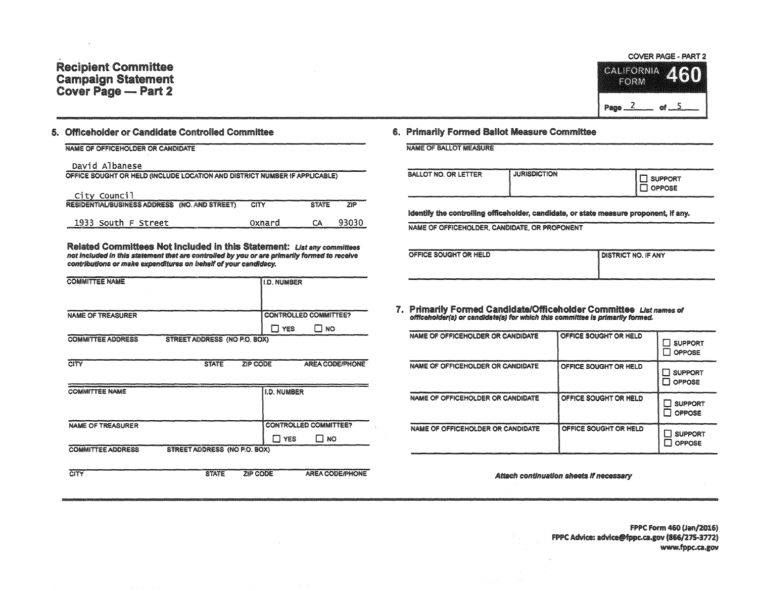#### 5. Officeholder or Candidate Controlled Committee

| NAME OF OFFICEHOLDER OR CANDIDATE                                          |        |              |            |
|----------------------------------------------------------------------------|--------|--------------|------------|
| David Albanese                                                             |        |              |            |
| OFFICE SOUGHT OR HELD (INCLUDE LOCATION AND DISTRICT NUMBER IF APPLICABLE) |        |              |            |
| City Council                                                               |        |              |            |
| RESIDENTIAL/BUSINESS ADDRESS (NO. AND STREET)                              | CITY   | <b>STATE</b> | <b>7IP</b> |
| 1933 South F Street                                                        | Oxnard | CА           | 93030      |

Related Committees Not Included in this Statement: List any committees not included in this statement that are controlled by you or are primarily formed to receive contributions or make expenditures on behalf of your candidacy.

| <b>COMMITTEE NAME</b>    |                              |                 | <b>I.D. NUMBER</b> |                              |
|--------------------------|------------------------------|-----------------|--------------------|------------------------------|
| <b>NAME OF TREASURER</b> |                              |                 |                    | <b>CONTROLLED COMMITTEE?</b> |
|                          |                              |                 | <b>I</b> YES       | L I NO                       |
| <b>COMMITTEE ADDRESS</b> | STREET ADDRESS (NO P.O. BOX) |                 |                    |                              |
| CITY                     | <b>STATE</b>                 | <b>ZIP CODE</b> |                    | <b>AREA CODE/PHONE</b>       |
| <b>COMMITTEE NAME</b>    |                              |                 | <b>I.D. NUMBER</b> |                              |
| <b>NAME OF TREASURER</b> |                              |                 |                    | <b>CONTROLLED COMMITTEE?</b> |
|                          |                              |                 | <b>T</b> YES       | <b>I NO</b>                  |
| <b>COMMITTEE ADDRESS</b> | STREET ADDRESS (NO P.O. BOX) |                 |                    |                              |

 $\overline{C}$ ITY **STATE** ZIP CODE AREA CODE/PHONE

| CALIFORNIA<br><b>FORM</b> | SII |  |
|---------------------------|-----|--|
| Page $\_\angle$           |     |  |

COVER PAGE - PART 2

### 6. Primarily Formed Ballot Measure Committee

NAME OF BALLOT MEASURE

|                             |                     | SUPPORT       |
|-----------------------------|---------------------|---------------|
| <b>BALLOT NO. OR LETTER</b> | <b>JURISDICTION</b> | <b>OPPOSE</b> |
|                             |                     |               |

Identify the controlling officeholder, candidate, or state measure proponent, if any.

NAME OF OFFICEHOLDER, CANDIDATE, OR PROPONENT

| OFFICE SOUGHT OR HELD | <b>DISTRICT NO. IF ANY</b> |
|-----------------------|----------------------------|
|                       |                            |
|                       |                            |

7. Primarily Formed Candidate/Officeholder Committee List names of officeholder(s) or candidate(s) for which this committee is primarily formed.

| NAME OF OFFICEHOLDER OR CANDIDATE | OFFICE SOUGHT OR HELD | <b>SUPPORT</b><br><b>OPPOSE</b> |
|-----------------------------------|-----------------------|---------------------------------|
| NAME OF OFFICEHOLDER OR CANDIDATE | OFFICE SOUGHT OR HELD | <b>SUPPORT</b><br><b>OPPOSE</b> |
| NAME OF OFFICEHOLDER OR CANDIDATE | OFFICE SOUGHT OR HELD | <b>SUPPORT</b><br>OPPOSE        |
| NAME OF OFFICEHOLDER OR CANDIDATE | OFFICE SOUGHT OR HELD | <b>SUPPORT</b><br><b>OPPOSE</b> |

Attach continuation sheets if necessary

**FPPC Form 460 (Jan/2016)** FPPC Advice: advice@fppc.ca.gov (866/275-3772) www.fppc.ca.gov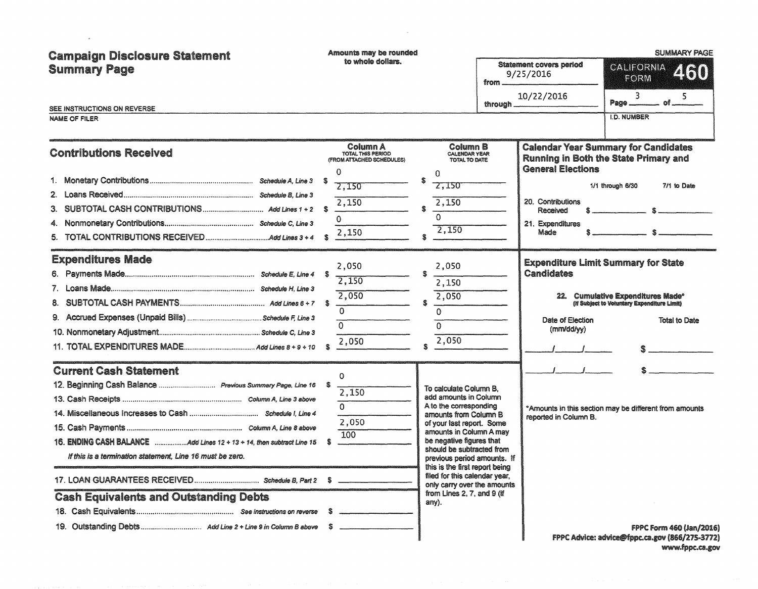| <b>Campaign Disclosure Statement</b><br><b>Summary Page</b><br>SEE INSTRUCTIONS ON REVERSE<br><b>NAME OF FILER</b>                                                                                                                                                                                                                           | Amounts may be rounded<br>to whole dollars.                                                                   | from<br>through _                                                                                                                                                                                                                                                                                                                                                                           | <b>Statement covers period</b><br>9/25/2016<br>10/22/2016                             | <b>SUMMARY PAGE</b><br><b>CALIFORNIA</b><br>460<br><b>FORM</b><br>5.<br>Page<br><b>I.D. NUMBER</b>                                                     |
|----------------------------------------------------------------------------------------------------------------------------------------------------------------------------------------------------------------------------------------------------------------------------------------------------------------------------------------------|---------------------------------------------------------------------------------------------------------------|---------------------------------------------------------------------------------------------------------------------------------------------------------------------------------------------------------------------------------------------------------------------------------------------------------------------------------------------------------------------------------------------|---------------------------------------------------------------------------------------|--------------------------------------------------------------------------------------------------------------------------------------------------------|
| <b>Contributions Received</b><br>4.<br>5.                                                                                                                                                                                                                                                                                                    | Column A<br><b>TOTAL THIS PERIOD</b><br>(FROM ATTACHED SCHEDULES)<br>$\Omega$<br>2,150<br>2,150<br>0<br>2,150 | Column B<br>CALENDAR YEAR<br>TOTAL TO DATE<br>0<br>2,150<br>2,150<br>$\Omega$<br>2,150                                                                                                                                                                                                                                                                                                      | <b>General Elections</b><br>20. Contributions<br>Received<br>21. Expenditures<br>Made | <b>Calendar Year Summary for Candidates</b><br>Running in Both the State Primary and<br>1/1 through 6/30<br>7/1 to Date                                |
| <b>Expenditures Made</b>                                                                                                                                                                                                                                                                                                                     | 2,050<br>2,150<br>2,050<br>$\Omega$<br>$\Omega$<br>2,050                                                      | 2,050<br>2,150<br>2,050<br>0<br>$\Omega$<br>2,050                                                                                                                                                                                                                                                                                                                                           | Candidates<br>Date of Election<br>(mm/dd/yy)                                          | <b>Expenditure Limit Summary for State</b><br>22. Cumulative Expenditures Made*<br>(If Subject to Voluntary Expenditure Limit)<br><b>Total to Date</b> |
| <b>Current Cash Statement</b><br>12. Beginning Cash Balance  Previous Summary Page, Line 16 \$<br>16. ENDING CASH BALANCE Add Lines 12 + 13 + 14. then subtract Line 15<br>If this is a termination statement, Line 16 must be zero.<br>17. LOAN GUARANTEES RECEIVED  Schedule B, Part 2 \$<br><b>Cash Equivalents and Outstanding Debts</b> | $\Omega$<br>2,150<br>$\Omega$<br>2,050<br>100<br>S                                                            | To calculate Column B.<br>add amounts in Column<br>A to the corresponding<br>amounts from Column B<br>of your last report. Some<br>amounts in Column A may<br>be negative figures that<br>should be subtracted from<br>previous period amounts. If<br>this is the first report being<br>filed for this calendar year,<br>only carry over the amounts<br>from Lines 2, 7, and 9 (if<br>any). | reported in Column B.                                                                 | "Amounts in this section may be different from amounts<br><b>FPPC Form 460 (Jan/2016)</b>                                                              |
|                                                                                                                                                                                                                                                                                                                                              |                                                                                                               |                                                                                                                                                                                                                                                                                                                                                                                             |                                                                                       | FPPC Advice: advice@fppc.ca.gov (866/275-3772)                                                                                                         |

 $\sim 10^7$ 

 $\mathbf{z}$ 

ره ۱ رححت / ۷ رحمت ) e@tppc.ca.gov<br>www.fppc.ca.gov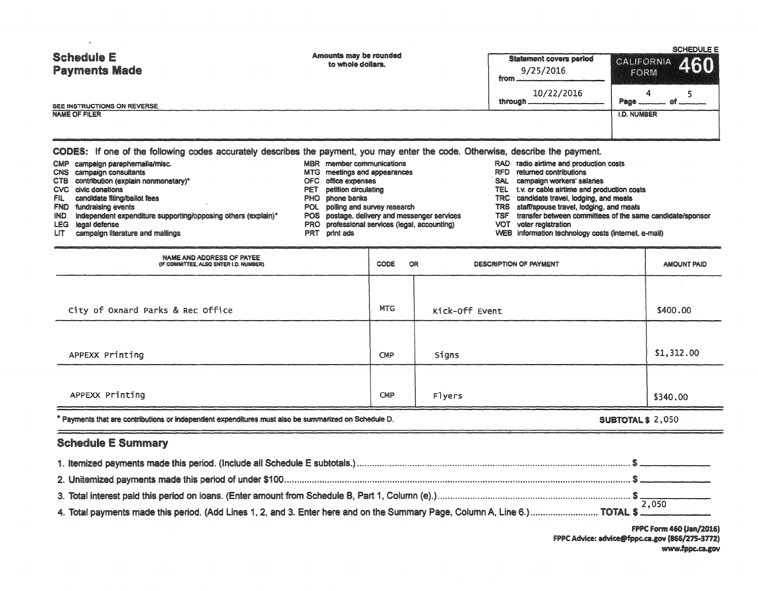| <b>Schedule E</b><br><b>Payments Made</b> | Amounts may be rounded<br>to whole dollars. | <b>Statement covers period</b><br>9/25/2016<br>from | CALIFORNIA 460<br>FORM | <b>SCHEDULE E</b> |
|-------------------------------------------|---------------------------------------------|-----------------------------------------------------|------------------------|-------------------|
| SEE INSTRUCTIONS ON REVERSE               |                                             | 10/22/2016<br>through.                              | Page                   |                   |
| <b>NAME OF FILER</b>                      |                                             |                                                     | <b>I.D. NUMBER</b>     |                   |
|                                           |                                             |                                                     |                        |                   |

## CODES: If one of the following codes accurately describes the payment, you may enter the code. Otherwise, describe the payment.

| <b>CMP</b> | campaign paraphernalia/misc. |
|------------|------------------------------|
| <b>CNS</b> | campaign consultants         |

FIL candidate filing/ballot fees

CVC civic donations

LEG legal defense

**FND** fundraising events

CTB contribution (explain nonmonetary)\*

LIT campaign literature and mailings

IND independent expenditure supporting/opposing others (explain)\*

- **MBR** member communications
- MTG meetings and appearances
- OFC office expenses
- **PET** petition circulating
- PHO phone banks
- POL polling and survey research
- POS postage, delivery and messenger services
- PRO professional services (legal, accounting)
- PRT print ads
- RAD radio airtime and production costs
- RFD returned contributions
- SAL campaign workers' salaries
- TEL t.v. or cable airlime and production costs
- TRC candidate travel, lodging, and meals
- TRS staff/spouse travel, lodging, and meals
- TSF transfer between committees of the same candidate/sponsor
- VOT voter registration
- WEB information technology costs (internet, e-mail)

| NAME AND ADDRESS OF PAYEE<br>(IF COMMITTEE, ALSO ENTER I.D. NUMBER)                                  | CODE       | OR<br>DESCRIPTION OF PAYMENT | AMOUNT PAID |
|------------------------------------------------------------------------------------------------------|------------|------------------------------|-------------|
|                                                                                                      |            |                              |             |
| City of Oxnard Parks & Rec Office                                                                    | <b>MTG</b> | Kick-Off Event               | \$400.00    |
|                                                                                                      |            |                              |             |
| APPEXX Printing                                                                                      | CMP        | Signs                        | \$1,312.00  |
|                                                                                                      |            |                              |             |
| APPEXX Printing                                                                                      | <b>CMP</b> | Flyers                       | \$340,00    |
| * Payments that are contributions or independent expenditures must also be summarized on Schedule D. |            | <b>SUBTOTAL \$ 2,050</b>     |             |

# **Schedule E Summary**

**FPPC Form 460 (Jan/2016)** FPPC Advice: advice@fppc.ca.gov (866/275-3772) www.fppc.ca.gov